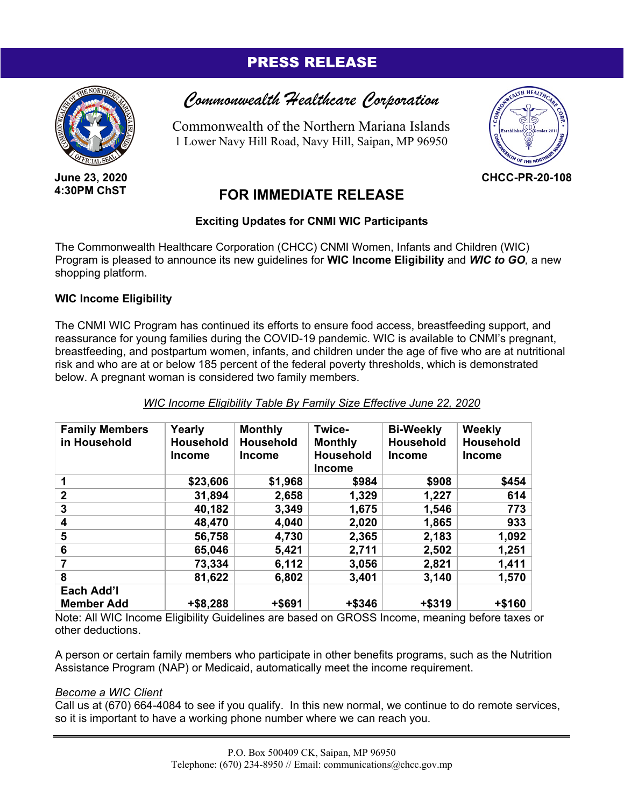# PRESS RELEASE



**June 23, 2020 4:30PM ChST**



Commonwealth of the Northern Mariana Islands 1 Lower Navy Hill Road, Navy Hill, Saipan, MP 96950



**CHCC-PR-20-108**

# **FOR IMMEDIATE RELEASE**

# **Exciting Updates for CNMI WIC Participants**

The Commonwealth Healthcare Corporation (CHCC) CNMI Women, Infants and Children (WIC) Program is pleased to announce its new guidelines for **WIC Income Eligibility** and *WIC to GO,* a new shopping platform.

# **WIC Income Eligibility**

The CNMI WIC Program has continued its efforts to ensure food access, breastfeeding support, and reassurance for young families during the COVID-19 pandemic. WIC is available to CNMI's pregnant, breastfeeding, and postpartum women, infants, and children under the age of five who are at nutritional risk and who are at or below 185 percent of the federal poverty thresholds, which is demonstrated below. A pregnant woman is considered two family members.

| <b>Family Members</b> | Yearly           | <b>Monthly</b>   | Twice-           | <b>Bi-Weekly</b> | Weekly           |
|-----------------------|------------------|------------------|------------------|------------------|------------------|
| in Household          | <b>Household</b> | <b>Household</b> | <b>Monthly</b>   | <b>Household</b> | <b>Household</b> |
|                       | Income           | <b>Income</b>    | <b>Household</b> | <b>Income</b>    | <b>Income</b>    |
|                       |                  |                  | <b>Income</b>    |                  |                  |
|                       | \$23,606         | \$1,968          | \$984            | \$908            | \$454            |
| $\mathbf 2$           | 31,894           | 2,658            | 1,329            | 1,227            | 614              |
| 3                     | 40,182           | 3,349            | 1,675            | 1,546            | 773              |
| 4                     | 48,470           | 4,040            | 2,020            | 1,865            | 933              |
| 5                     | 56,758           | 4,730            | 2,365            | 2,183            | 1,092            |
| 6                     | 65,046           | 5,421            | 2,711            | 2,502            | 1,251            |
|                       | 73,334           | 6,112            | 3,056            | 2,821            | 1,411            |
| 8                     | 81,622           | 6,802            | 3,401            | 3,140            | 1,570            |
| Each Add'l            |                  |                  |                  |                  |                  |
| <b>Member Add</b>     | +\$8,288         | +\$691           | +\$346           | +\$319           | +\$160           |

## *WIC Income Eligibility Table By Family Size Effective June 22, 2020*

Note: All WIC Income Eligibility Guidelines are based on GROSS Income, meaning before taxes or other deductions.

A person or certain family members who participate in other benefits programs, such as the Nutrition Assistance Program (NAP) or Medicaid, automatically meet the income requirement.

## *Become a WIC Client*

Call us at (670) 664-4084 to see if you qualify. In this new normal, we continue to do remote services, so it is important to have a working phone number where we can reach you.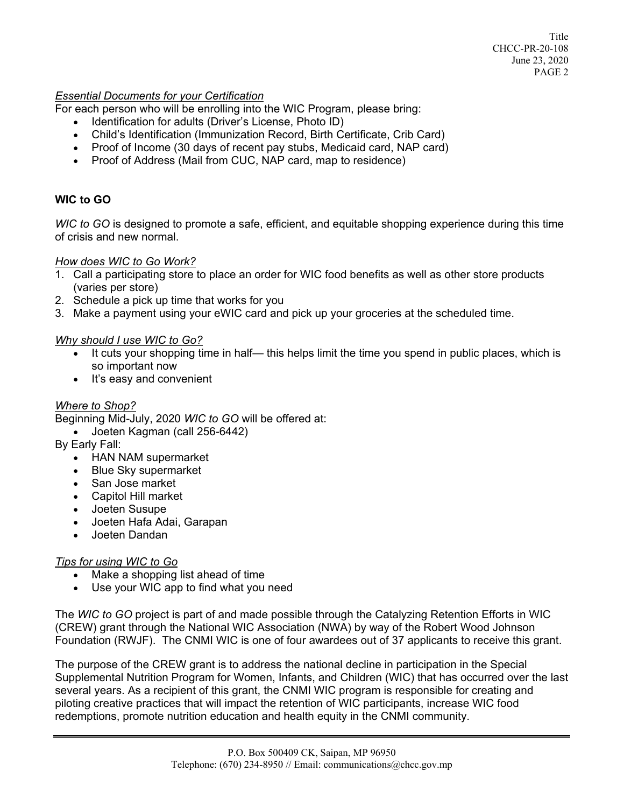Title CHCC-PR-20-108 June 23, 2020 PAGE 2

#### *Essential Documents for your Certification*

For each person who will be enrolling into the WIC Program, please bring:

- Identification for adults (Driver's License, Photo ID)
- Child's Identification (Immunization Record, Birth Certificate, Crib Card)
- Proof of Income (30 days of recent pay stubs, Medicaid card, NAP card)
- Proof of Address (Mail from CUC, NAP card, map to residence)

## **WIC to GO**

*WIC to GO* is designed to promote a safe, efficient, and equitable shopping experience during this time of crisis and new normal.

#### *How does WIC to Go Work?*

- 1. Call a participating store to place an order for WIC food benefits as well as other store products (varies per store)
- 2. Schedule a pick up time that works for you
- 3. Make a payment using your eWIC card and pick up your groceries at the scheduled time.

#### *Why should I use WIC to Go?*

- It cuts your shopping time in half— this helps limit the time you spend in public places, which is so important now
- It's easy and convenient

## *Where to Shop?*

Beginning Mid-July, 2020 *WIC to GO* will be offered at:

- Joeten Kagman (call 256-6442)
- By Early Fall:
	- HAN NAM supermarket
	- Blue Sky supermarket
	- San Jose market
	- Capitol Hill market
	- Joeten Susupe
	- Joeten Hafa Adai, Garapan
	- Joeten Dandan

## *Tips for using WIC to Go*

- Make a shopping list ahead of time
- Use your WIC app to find what you need

The *WIC to GO* project is part of and made possible through the Catalyzing Retention Efforts in WIC (CREW) grant through the National WIC Association (NWA) by way of the Robert Wood Johnson Foundation (RWJF). The CNMI WIC is one of four awardees out of 37 applicants to receive this grant.

The purpose of the CREW grant is to address the national decline in participation in the Special Supplemental Nutrition Program for Women, Infants, and Children (WIC) that has occurred over the last several years. As a recipient of this grant, the CNMI WIC program is responsible for creating and piloting creative practices that will impact the retention of WIC participants, increase WIC food redemptions, promote nutrition education and health equity in the CNMI community.